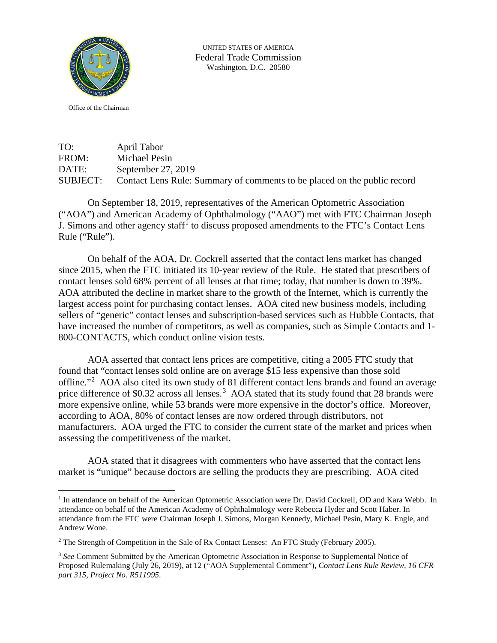

UNITED STATES OF AMERICA Federal Trade Commission Washington, D.C. 20580

Office of the Chairman

TO: April Tabor FROM: Michael Pesin DATE: September 27, 2019 SUBJECT: Contact Lens Rule: Summary of comments to be placed on the public record

On September 18, 2019, representatives of the American Optometric Association ("AOA") and American Academy of Ophthalmology ("AAO") met with FTC Chairman Joseph J. Simons and other agency staff<sup>[1](#page-0-0)</sup> to discuss proposed amendments to the FTC's Contact Lens Rule ("Rule").

On behalf of the AOA, Dr. Cockrell asserted that the contact lens market has changed since 2015, when the FTC initiated its 10-year review of the Rule. He stated that prescribers of contact lenses sold 68% percent of all lenses at that time; today, that number is down to 39%. AOA attributed the decline in market share to the growth of the Internet, which is currently the largest access point for purchasing contact lenses. AOA cited new business models, including sellers of "generic" contact lenses and subscription-based services such as Hubble Contacts, that have increased the number of competitors, as well as companies, such as Simple Contacts and 1-800-CONTACTS, which conduct online vision tests.

AOA asserted that contact lens prices are competitive, citing a 2005 FTC study that found that "contact lenses sold online are on average \$15 less expensive than those sold offline."<sup>[2](#page-0-1)</sup> AOA also cited its own study of 81 different contact lens brands and found an average price difference of \$0.[3](#page-0-2)2 across all lenses.<sup>3</sup> AOA stated that its study found that 28 brands were more expensive online, while 53 brands were more expensive in the doctor's office. Moreover, according to AOA, 80% of contact lenses are now ordered through distributors, not manufacturers. AOA urged the FTC to consider the current state of the market and prices when assessing the competitiveness of the market.

AOA stated that it disagrees with commenters who have asserted that the contact lens market is "unique" because doctors are selling the products they are prescribing. AOA cited

<span id="page-0-0"></span><sup>&</sup>lt;sup>1</sup> In attendance on behalf of the American Optometric Association were Dr. David Cockrell, OD and Kara Webb. In attendance on behalf of the American Academy of Ophthalmology were Rebecca Hyder and Scott Haber. In attendance from the FTC were Chairman Joseph J. Simons, Morgan Kennedy, Michael Pesin, Mary K. Engle, and Andrew Wone.

<span id="page-0-1"></span><sup>&</sup>lt;sup>2</sup> The Strength of Competition in the Sale of Rx Contact Lenses: An FTC Study (February 2005).

<span id="page-0-2"></span><sup>&</sup>lt;sup>3</sup> See Comment Submitted by the American Optometric Association in Response to Supplemental Notice of Proposed Rulemaking (July 26, 2019), at 12 ("AOA Supplemental Comment"), *Contact Lens Rule Review, 16 CFR part 315, Project No. R511995*.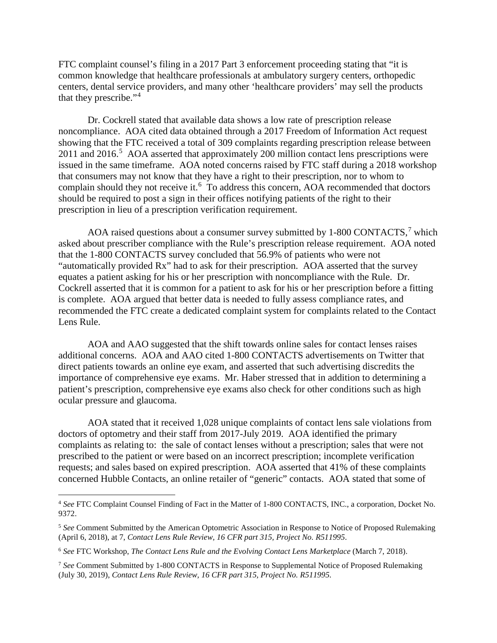FTC complaint counsel's filing in a 2017 Part 3 enforcement proceeding stating that "it is common knowledge that healthcare professionals at ambulatory surgery centers, orthopedic centers, dental service providers, and many other 'healthcare providers' may sell the products that they prescribe."<sup>[4](#page-1-0)</sup>

Dr. Cockrell stated that available data shows a low rate of prescription release noncompliance. AOA cited data obtained through a 2017 Freedom of Information Act request showing that the FTC received a total of 309 complaints regarding prescription release between  $2011$  and  $2016$ <sup>[5](#page-1-1)</sup> AOA asserted that approximately 200 million contact lens prescriptions were issued in the same timeframe. AOA noted concerns raised by FTC staff during a 2018 workshop that consumers may not know that they have a right to their prescription, nor to whom to complain should they not receive it.<sup>[6](#page-1-2)</sup> To address this concern, AOA recommended that doctors should be required to post a sign in their offices notifying patients of the right to their prescription in lieu of a prescription verification requirement.

AOA raised questions about a consumer survey submitted by 1-800 CONTACTS,<sup>[7](#page-1-3)</sup> which asked about prescriber compliance with the Rule's prescription release requirement. AOA noted that the 1-800 CONTACTS survey concluded that 56.9% of patients who were not "automatically provided Rx" had to ask for their prescription. AOA asserted that the survey equates a patient asking for his or her prescription with noncompliance with the Rule. Dr. Cockrell asserted that it is common for a patient to ask for his or her prescription before a fitting is complete. AOA argued that better data is needed to fully assess compliance rates, and recommended the FTC create a dedicated complaint system for complaints related to the Contact Lens Rule.

AOA and AAO suggested that the shift towards online sales for contact lenses raises additional concerns. AOA and AAO cited 1-800 CONTACTS advertisements on Twitter that direct patients towards an online eye exam, and asserted that such advertising discredits the importance of comprehensive eye exams. Mr. Haber stressed that in addition to determining a patient's prescription, comprehensive eye exams also check for other conditions such as high ocular pressure and glaucoma.

AOA stated that it received 1,028 unique complaints of contact lens sale violations from doctors of optometry and their staff from 2017-July 2019. AOA identified the primary complaints as relating to: the sale of contact lenses without a prescription; sales that were not prescribed to the patient or were based on an incorrect prescription; incomplete verification requests; and sales based on expired prescription. AOA asserted that 41% of these complaints concerned Hubble Contacts, an online retailer of "generic" contacts. AOA stated that some of

<span id="page-1-0"></span> <sup>4</sup> *See* FTC Complaint Counsel Finding of Fact in the Matter of 1-800 CONTACTS, INC., a corporation, Docket No. 9372.

<span id="page-1-1"></span><sup>5</sup> *See* Comment Submitted by the American Optometric Association in Response to Notice of Proposed Rulemaking (April 6, 2018), at 7, *Contact Lens Rule Review, 16 CFR part 315, Project No. R511995*.

<span id="page-1-2"></span><sup>6</sup> *See* FTC Workshop, *The Contact Lens Rule and the Evolving Contact Lens Marketplace* (March 7, 2018).

<span id="page-1-3"></span><sup>7</sup> *See* Comment Submitted by 1-800 CONTACTS in Response to Supplemental Notice of Proposed Rulemaking (July 30, 2019), *Contact Lens Rule Review, 16 CFR part 315, Project No. R511995*.